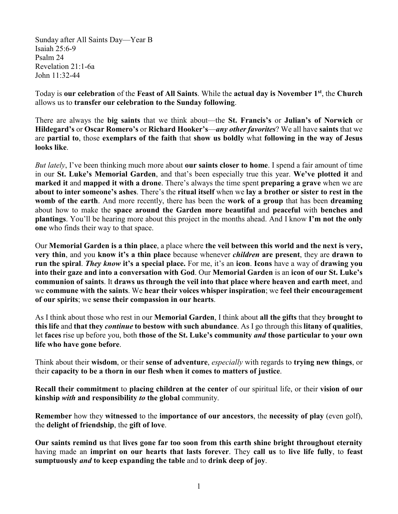Sunday after All Saints Day—Year B Isaiah 25:6-9 Psalm 24 Revelation 21:1-6a John 11:32-44

Today is **our celebration** of the **Feast of All Saints**. While the **actual day is November 1st**, the **Church** allows us to **transfer our celebration to the Sunday following**.

There are always the **big saints** that we think about—the **St. Francis's** or **Julian's of Norwich** or **Hildegard's** or **Oscar Romero's** or **Richard Hooker's**—*any other favorites*? We all have **saints** that we are **partial to**, those **exemplars of the faith** that **show us boldly** what **following in the way of Jesus looks like**.

*But lately*, I've been thinking much more about **our saints closer to home**. I spend a fair amount of time in our **St. Luke's Memorial Garden**, and that's been especially true this year. **We've plotted it** and **marked it** and **mapped it with a drone**. There's always the time spent **preparing a grave** when we are **about to inter someone's ashes**. There's the **ritual itself** when we **lay a brother or sister to rest in the womb of the earth**. And more recently, there has been the **work of a group** that has been **dreaming** about how to make the **space around the Garden more beautiful** and **peaceful** with **benches and plantings**. You'll be hearing more about this project in the months ahead. And I know **I'm not the only one** who finds their way to that space.

Our **Memorial Garden is a thin place**, a place where **the veil between this world and the next is very, very thin**, and you **know it's a thin place** because whenever *children* **are present**, they are **drawn to run the spiral**. *They know* **it's a special place.** For me, it's an **icon**. **Icons** have a way of **drawing you into their gaze and into a conversation with God**. Our **Memorial Garden** is an **icon of our St. Luke's communion of saints**. It **draws us through the veil into that place where heaven and earth meet**, and we **commune with the saints**. We **hear their voices whisper inspiration**; we **feel their encouragement of our spirits**; we **sense their compassion in our hearts**.

As I think about those who rest in our **Memorial Garden**, I think about **all the gifts** that they **brought to this life** and **that they** *continue* **to bestow with such abundance**. As I go through this **litany of qualities**, let **faces** rise up before you, both **those of the St. Luke's community** *and* **those particular to your own life who have gone before**.

Think about their **wisdom**, or their **sense of adventure**, *especially* with regards to **trying new things**, or their **capacity to be a thorn in our flesh when it comes to matters of justice**.

**Recall their commitment** to **placing children at the center** of our spiritual life, or their **vision of our kinship** *with* **and responsibility** *to* **the global** community.

**Remember** how they **witnessed** to the **importance of our ancestors**, the **necessity of play** (even golf), the **delight of friendship**, the **gift of love**.

**Our saints remind us** that **lives gone far too soon from this earth shine bright throughout eternity**  having made an **imprint on our hearts that lasts forever**. They **call us** to **live life fully**, to **feast sumptuously** *and* **to keep expanding the table** and to **drink deep of joy**.